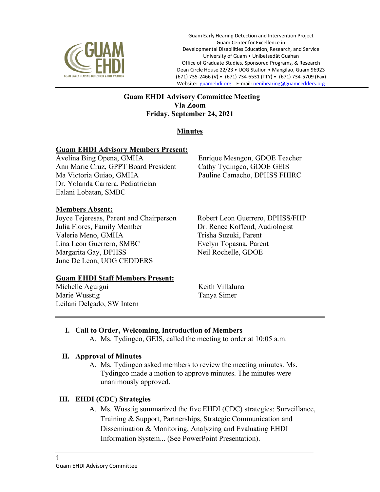

Guam Early Hearing Detection and Intervention Project Guam Center for Excellence in Developmental Disabilities Education, Research, and Service University of Guam • Unibetsedåt Guahan Office of Graduate Studies, Sponsored Programs, & Research Dean Circle House 22/23 • UOG Station • Mangilao, Guam 96923 (671) 735-2466 (V) • (671) 734-6531 (TTY) • (671) 734-5709 (Fax) Website: guamehdi.org E-mail: nenihearing@guamcedders.org

### **Guam EHDI Advisory Committee Meeting Via Zoom Friday, September 24, 2021**

# **Minutes**

### **Guam EHDI Advisory Members Present:**

Avelina Bing Opena, GMHA Ann Marie Cruz, GPPT Board President Ma Victoria Guiao, GMHA Dr. Yolanda Carrera, Pediatrician Ealani Lobatan, SMBC

Enrique Mesngon, GDOE Teacher Cathy Tydingco, GDOE GEIS Pauline Camacho, DPHSS FHIRC

### **Members Absent:**

Joyce Tejeresas, Parent and Chairperson Robert Leon Guerrero, DPHSS/FHP Julia Flores, Family Member Dr. Renee Koffend, Audiologist Valerie Meno, GMHA Trisha Suzuki, Parent Lina Leon Guerrero, SMBC Evelyn Topasna, Parent Margarita Gay, DPHSS Neil Rochelle, GDOE June De Leon, UOG CEDDERS

### **Guam EHDI Staff Members Present:**

Michelle Aguigui Marie Wusstig Leilani Delgado, SW Intern Keith Villaluna Tanya Simer

## **I. Call to Order, Welcoming, Introduction of Members**

A. Ms. Tydingco, GEIS, called the meeting to order at 10:05 a.m.

### **II. Approval of Minutes**

A. Ms. Tydingco asked members to review the meeting minutes. Ms. Tydingco made a motion to approve minutes. The minutes were unanimously approved.

### **III. EHDI (CDC) Strategies**

A. Ms. Wusstig summarized the five EHDI (CDC) strategies: Surveillance, Training & Support, Partnerships, Strategic Communication and Dissemination & Monitoring, Analyzing and Evaluating EHDI Information System... (See PowerPoint Presentation).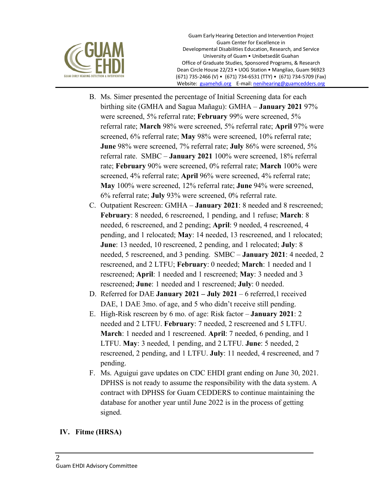

Guam Early Hearing Detection and Intervention Project Guam Center for Excellence in Developmental Disabilities Education, Research, and Service University of Guam • Unibetsedåt Guahan Office of Graduate Studies, Sponsored Programs, & Research Dean Circle House 22/23 • UOG Station • Mangilao, Guam 96923 (671) 735-2466 (V) • (671) 734-6531 (TTY) • (671) 734-5709 (Fax) Website: guamehdi.org E-mail: nenihearing@guamcedders.org

- B. Ms. Simer presented the percentage of Initial Screening data for each birthing site (GMHA and Sagua Mañagu): GMHA – **January 2021** 97% were screened, 5% referral rate; **February** 99% were screened, 5% referral rate; **March** 98% were screened, 5% referral rate; **April** 97% were screened, 6% referral rate; **May** 98% were screened, 10% referral rate; **June** 98% were screened, 7% referral rate; **July** 86% were screened, 5% referral rate. SMBC – **January 2021** 100% were screened, 18% referral rate; **February** 90% were screened, 0% referral rate; **March** 100% were screened, 4% referral rate; **April** 96% were screened, 4% referral rate; **May** 100% were screened, 12% referral rate; **June** 94% were screened, 6% referral rate; **July** 93% were screened, 0% referral rate.
- C. Outpatient Rescreen: GMHA **January 2021**: 8 needed and 8 rescreened; **February**: 8 needed, 6 rescreened, 1 pending, and 1 refuse; **March**: 8 needed, 6 rescreened, and 2 pending; **April**: 9 needed, 4 rescreened, 4 pending, and 1 relocated; **May**: 14 needed, 13 rescreened, and 1 relocated; **June**: 13 needed, 10 rescreened, 2 pending, and 1 relocated; **July**: 8 needed, 5 rescreened, and 3 pending. SMBC – **January 2021**: 4 needed, 2 rescreened, and 2 LTFU; **February**: 0 needed; **March**: 1 needed and 1 rescreened; **April**: 1 needed and 1 rescreened; **May**: 3 needed and 3 rescreened; **June**: 1 needed and 1 rescreened; **July**: 0 needed.
- D. Referred for DAE **January 2021 – July 2021** 6 referred,1 received DAE, 1 DAE 3mo. of age, and 5 who didn't receive still pending.
- E. High-Risk rescreen by 6 mo. of age: Risk factor **January 2021**: 2 needed and 2 LTFU. **February**: 7 needed, 2 rescreened and 5 LTFU. **March**: 1 needed and 1 rescreened. **April**: 7 needed, 6 pending, and 1 LTFU. **May**: 3 needed, 1 pending, and 2 LTFU. **June**: 5 needed, 2 rescreened, 2 pending, and 1 LTFU. **July**: 11 needed, 4 rescreened, and 7 pending.
- F. Ms. Aguigui gave updates on CDC EHDI grant ending on June 30, 2021. DPHSS is not ready to assume the responsibility with the data system. A contract with DPHSS for Guam CEDDERS to continue maintaining the database for another year until June 2022 is in the process of getting signed.

## **IV. Fitme (HRSA)**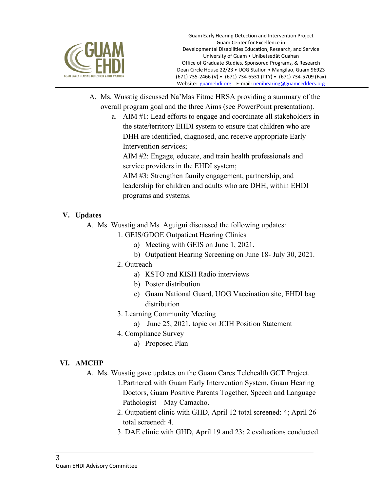

- A. Ms. Wusstig discussed Na'Mas Fitme HRSA providing a summary of the overall program goal and the three Aims (see PowerPoint presentation).
	- a. AIM #1: Lead efforts to engage and coordinate all stakeholders in the state/territory EHDI system to ensure that children who are DHH are identified, diagnosed, and receive appropriate Early Intervention services;

AIM #2: Engage, educate, and train health professionals and service providers in the EHDI system;

AIM #3: Strengthen family engagement, partnership, and leadership for children and adults who are DHH, within EHDI programs and systems.

# **V. Updates**

- A. Ms. Wusstig and Ms. Aguigui discussed the following updates:
	- 1. GEIS/GDOE Outpatient Hearing Clinics
		- a) Meeting with GEIS on June 1, 2021.
		- b) Outpatient Hearing Screening on June 18- July 30, 2021.
	- 2. Outreach
		- a) KSTO and KISH Radio interviews
		- b) Poster distribution
		- c) Guam National Guard, UOG Vaccination site, EHDI bag distribution
	- 3. Learning Community Meeting
		- a) June 25, 2021, topic on JCIH Position Statement
	- 4. Compliance Survey
		- a) Proposed Plan

## **VI. AMCHP**

- A. Ms. Wusstig gave updates on the Guam Cares Telehealth GCT Project.
	- 1.Partnered with Guam Early Intervention System, Guam Hearing Doctors, Guam Positive Parents Together, Speech and Language Pathologist – May Camacho.
	- 2. Outpatient clinic with GHD, April 12 total screened: 4; April 26 total screened: 4.
	- 3. DAE clinic with GHD, April 19 and 23: 2 evaluations conducted.